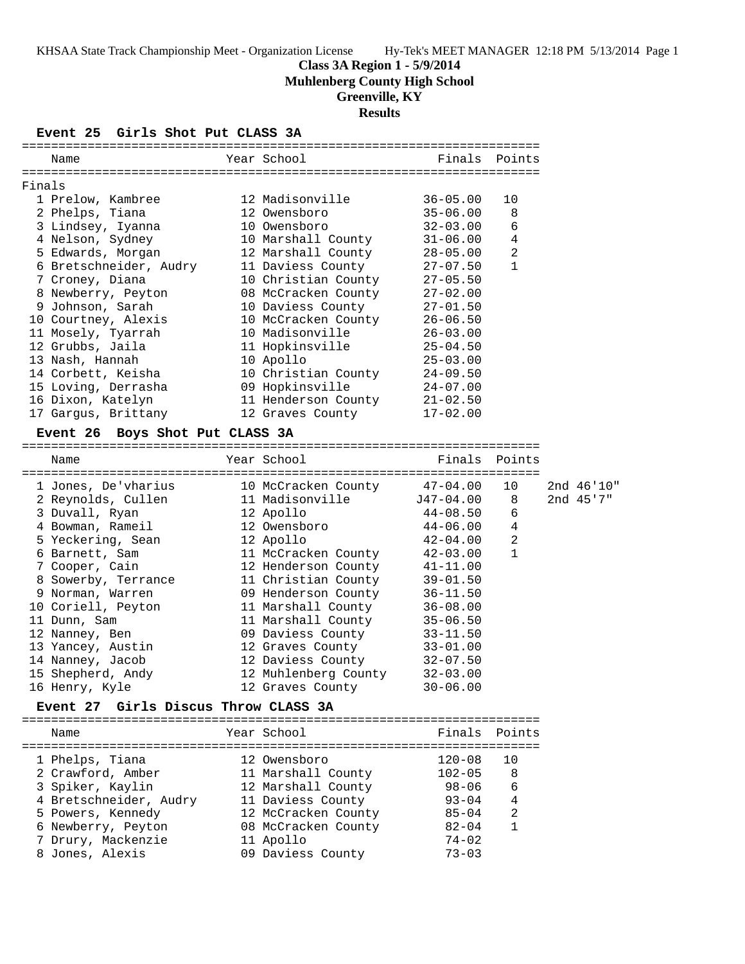# **Class 3A Region 1 - 5/9/2014**

**Muhlenberg County High School**

# **Greenville, KY**

**Results**

#### **Event 25 Girls Shot Put CLASS 3A**

| Year School<br>Finals Points<br>Name<br>Finals<br>12 Madisonville<br>$36 - 05.00$<br>1 Prelow, Kambree<br>10<br>2 Phelps, Tiana<br>12 Owensboro<br>$35 - 06.00$<br>8<br>6<br>3 Lindsey, Iyanna<br>10 Owensboro<br>$32 - 03.00$<br>4<br>4 Nelson, Sydney<br>10 Marshall County<br>$31 - 06.00$<br>$\overline{2}$<br>5 Edwards, Morgan<br>12 Marshall County<br>$28 - 05.00$<br>$\mathbf{1}$<br>6 Bretschneider, Audry<br>11 Daviess County<br>$27 - 07.50$<br>10 Christian County<br>7 Croney, Diana<br>$27 - 05.50$<br>8 Newberry, Peyton<br>08 McCracken County<br>$27 - 02.00$ |  |  |  |  |  |  |  |  |
|----------------------------------------------------------------------------------------------------------------------------------------------------------------------------------------------------------------------------------------------------------------------------------------------------------------------------------------------------------------------------------------------------------------------------------------------------------------------------------------------------------------------------------------------------------------------------------|--|--|--|--|--|--|--|--|
|                                                                                                                                                                                                                                                                                                                                                                                                                                                                                                                                                                                  |  |  |  |  |  |  |  |  |
|                                                                                                                                                                                                                                                                                                                                                                                                                                                                                                                                                                                  |  |  |  |  |  |  |  |  |
|                                                                                                                                                                                                                                                                                                                                                                                                                                                                                                                                                                                  |  |  |  |  |  |  |  |  |
|                                                                                                                                                                                                                                                                                                                                                                                                                                                                                                                                                                                  |  |  |  |  |  |  |  |  |
|                                                                                                                                                                                                                                                                                                                                                                                                                                                                                                                                                                                  |  |  |  |  |  |  |  |  |
|                                                                                                                                                                                                                                                                                                                                                                                                                                                                                                                                                                                  |  |  |  |  |  |  |  |  |
|                                                                                                                                                                                                                                                                                                                                                                                                                                                                                                                                                                                  |  |  |  |  |  |  |  |  |
|                                                                                                                                                                                                                                                                                                                                                                                                                                                                                                                                                                                  |  |  |  |  |  |  |  |  |
|                                                                                                                                                                                                                                                                                                                                                                                                                                                                                                                                                                                  |  |  |  |  |  |  |  |  |
|                                                                                                                                                                                                                                                                                                                                                                                                                                                                                                                                                                                  |  |  |  |  |  |  |  |  |
|                                                                                                                                                                                                                                                                                                                                                                                                                                                                                                                                                                                  |  |  |  |  |  |  |  |  |
| 9 Johnson, Sarah<br>10 Daviess County<br>$27 - 01.50$                                                                                                                                                                                                                                                                                                                                                                                                                                                                                                                            |  |  |  |  |  |  |  |  |
| 10 Courtney, Alexis<br>10 McCracken County<br>$26 - 06.50$                                                                                                                                                                                                                                                                                                                                                                                                                                                                                                                       |  |  |  |  |  |  |  |  |
| 11 Mosely, Tyarrah<br>10 Madisonville<br>$26 - 03.00$                                                                                                                                                                                                                                                                                                                                                                                                                                                                                                                            |  |  |  |  |  |  |  |  |
| 12 Grubbs, Jaila<br>11 Hopkinsville<br>$25 - 04.50$                                                                                                                                                                                                                                                                                                                                                                                                                                                                                                                              |  |  |  |  |  |  |  |  |
| 13 Nash, Hannah<br>10 Apollo<br>$25 - 03.00$                                                                                                                                                                                                                                                                                                                                                                                                                                                                                                                                     |  |  |  |  |  |  |  |  |
| 10 Christian County<br>14 Corbett, Keisha<br>$24 - 09.50$                                                                                                                                                                                                                                                                                                                                                                                                                                                                                                                        |  |  |  |  |  |  |  |  |
| 15 Loving, Derrasha<br>09 Hopkinsville<br>$24 - 07.00$                                                                                                                                                                                                                                                                                                                                                                                                                                                                                                                           |  |  |  |  |  |  |  |  |
| 16 Dixon, Katelyn<br>11 Henderson County<br>$21 - 02.50$                                                                                                                                                                                                                                                                                                                                                                                                                                                                                                                         |  |  |  |  |  |  |  |  |
| $17 - 02.00$<br>17 Gargus, Brittany<br>12 Graves County                                                                                                                                                                                                                                                                                                                                                                                                                                                                                                                          |  |  |  |  |  |  |  |  |
| Boys Shot Put CLASS 3A<br><b>Event 26</b>                                                                                                                                                                                                                                                                                                                                                                                                                                                                                                                                        |  |  |  |  |  |  |  |  |
| Year School<br>Finals<br>Points<br>Name                                                                                                                                                                                                                                                                                                                                                                                                                                                                                                                                          |  |  |  |  |  |  |  |  |
|                                                                                                                                                                                                                                                                                                                                                                                                                                                                                                                                                                                  |  |  |  |  |  |  |  |  |
| 1 Jones, De'vharius<br>10 McCracken County<br>47-04.00<br>10<br>2nd 46'10"                                                                                                                                                                                                                                                                                                                                                                                                                                                                                                       |  |  |  |  |  |  |  |  |
| 11 Madisonville J47-04.00<br>2nd 45'7"<br>2 Reynolds, Cullen<br>8                                                                                                                                                                                                                                                                                                                                                                                                                                                                                                                |  |  |  |  |  |  |  |  |
| 3 Duvall, Ryan<br>12 Apollo<br>6<br>$44 - 08.50$                                                                                                                                                                                                                                                                                                                                                                                                                                                                                                                                 |  |  |  |  |  |  |  |  |
| $\sqrt{4}$<br>4 Bowman, Rameil<br>12 Owensboro<br>$44 - 06.00$                                                                                                                                                                                                                                                                                                                                                                                                                                                                                                                   |  |  |  |  |  |  |  |  |
| 2<br>5 Yeckering, Sean<br>12 Apollo<br>$42 - 04.00$                                                                                                                                                                                                                                                                                                                                                                                                                                                                                                                              |  |  |  |  |  |  |  |  |
| 6 Barnett, Sam<br>11 McCracken County<br>$\mathbf{1}$<br>$42 - 03.00$                                                                                                                                                                                                                                                                                                                                                                                                                                                                                                            |  |  |  |  |  |  |  |  |
| 7 Cooper, Cain<br>12 Henderson County<br>$41 - 11.00$                                                                                                                                                                                                                                                                                                                                                                                                                                                                                                                            |  |  |  |  |  |  |  |  |
| 8 Sowerby, Terrance<br>11 Christian County<br>$39 - 01.50$                                                                                                                                                                                                                                                                                                                                                                                                                                                                                                                       |  |  |  |  |  |  |  |  |
| 9 Norman, Warren<br>09 Henderson County<br>$36 - 11.50$                                                                                                                                                                                                                                                                                                                                                                                                                                                                                                                          |  |  |  |  |  |  |  |  |
| 10 Coriell, Peyton<br>11 Marshall County<br>$36 - 08.00$                                                                                                                                                                                                                                                                                                                                                                                                                                                                                                                         |  |  |  |  |  |  |  |  |
| 11 Marshall County<br>11 Dunn, Sam<br>$35 - 06.50$                                                                                                                                                                                                                                                                                                                                                                                                                                                                                                                               |  |  |  |  |  |  |  |  |
| 09 Daviess County<br>12 Nanney, Ben<br>$33 - 11.50$                                                                                                                                                                                                                                                                                                                                                                                                                                                                                                                              |  |  |  |  |  |  |  |  |
| 13 Yancey, Austin<br>12 Graves County<br>$33 - 01.00$                                                                                                                                                                                                                                                                                                                                                                                                                                                                                                                            |  |  |  |  |  |  |  |  |
| 14 Nanney, Jacob<br>$32 - 07.50$<br>12 Daviess County                                                                                                                                                                                                                                                                                                                                                                                                                                                                                                                            |  |  |  |  |  |  |  |  |

### **Event 27 Girls Discus Throw CLASS 3A**

=======================================================================

 15 Shepherd, Andy 12 Muhlenberg County 32-03.00 16 Henry, Kyle 12 Graves County 30-06.00

| Name                   | Year School         | Finals Points |     |
|------------------------|---------------------|---------------|-----|
| 1 Phelps, Tiana        | 12 Owensboro        | $120 - 08$    | 1 O |
| 2 Crawford, Amber      | 11 Marshall County  | $102 - 05$    | 8   |
| 3 Spiker, Kaylin       | 12 Marshall County  | $98 - 06$     | 6   |
| 4 Bretschneider, Audry | 11 Daviess County   | $93 - 04$     | 4   |
| 5 Powers, Kennedy      | 12 McCracken County | $85 - 04$     | 2   |
| 6 Newberry, Peyton     | 08 McCracken County | $82 - 04$     |     |
| 7 Drury, Mackenzie     | 11 Apollo           | $74 - 02$     |     |
| 8 Jones, Alexis        | 09 Daviess County   | $73 - 03$     |     |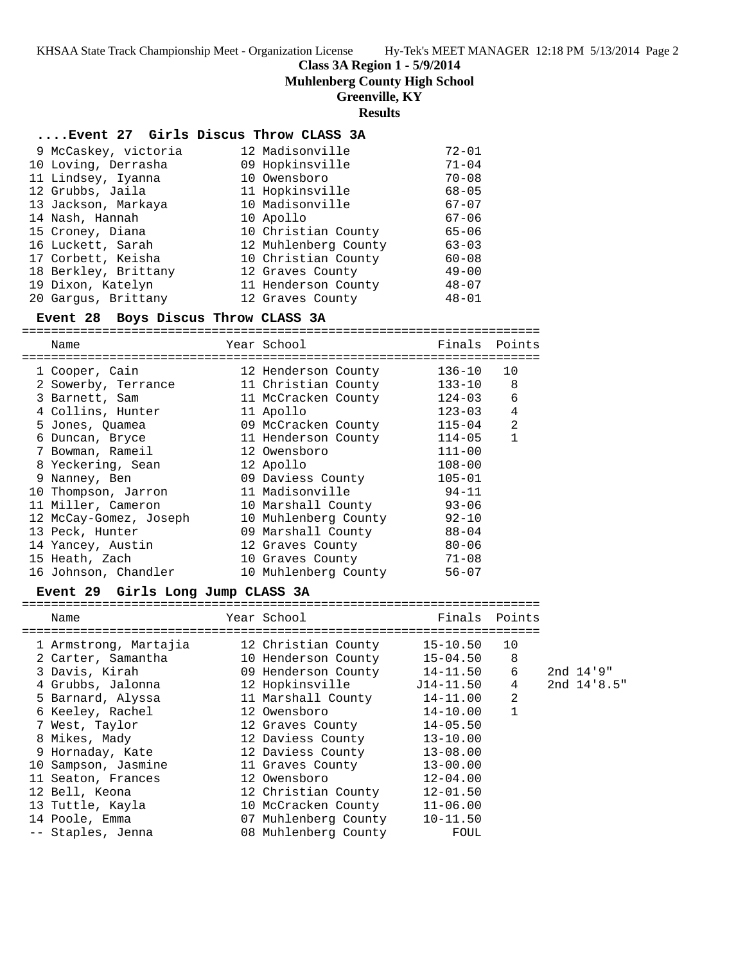**Class 3A Region 1 - 5/9/2014**

**Muhlenberg County High School**

# **Greenville, KY**

# **Results**

# **....Event 27 Girls Discus Throw CLASS 3A**

| 9 McCaskey, victoria | 12 Madisonville      | $72 - 01$ |
|----------------------|----------------------|-----------|
| 10 Loving, Derrasha  | 09 Hopkinsville      | $71 - 04$ |
| 11 Lindsey, Iyanna   | 10 Owensboro         | $70 - 08$ |
| 12 Grubbs, Jaila     | 11 Hopkinsville      | $68 - 05$ |
| 13 Jackson, Markaya  | 10 Madisonville      | $67 - 07$ |
| 14 Nash, Hannah      | 10 Apollo            | $67 - 06$ |
| 15 Croney, Diana     | 10 Christian County  | $65 - 06$ |
| 16 Luckett, Sarah    | 12 Muhlenberg County | $63 - 03$ |
| 17 Corbett, Keisha   | 10 Christian County  | $60 - 08$ |
| 18 Berkley, Brittany | 12 Graves County     | $49 - 00$ |
| 19 Dixon, Katelyn    | 11 Henderson County  | $48 - 07$ |
| 20 Gargus, Brittany  | 12 Graves County     | $48 - 01$ |

#### **Event 28 Boys Discus Throw CLASS 3A**

=======================================================================

| Name                   | Year School          | Finals     | Points         |
|------------------------|----------------------|------------|----------------|
| 1 Cooper, Cain         | 12 Henderson County  | 136-10     | 10             |
| 2 Sowerby, Terrance    | 11 Christian County  | 133-10     | 8              |
| 3 Barnett, Sam         | 11 McCracken County  | 124-03     | 6              |
| 4 Collins, Hunter      | 11 Apollo            | $123 - 03$ | $\overline{4}$ |
| 5 Jones, Ouamea        | 09 McCracken County  | $115 - 04$ | 2              |
| 6 Duncan, Bryce        | 11 Henderson County  | 114-05     | $\mathbf{1}$   |
| 7 Bowman, Rameil       | 12 Owensboro         | $111 - 00$ |                |
| 8 Yeckering, Sean      | 12 Apollo            | $108 - 00$ |                |
| 9 Nanney, Ben          | 09 Daviess County    | $105 - 01$ |                |
| 10 Thompson, Jarron    | 11 Madisonville      | $94 - 11$  |                |
| 11 Miller, Cameron     | 10 Marshall County   | $93 - 06$  |                |
| 12 McCay-Gomez, Joseph | 10 Muhlenberg County | $92 - 10$  |                |
| 13 Peck, Hunter        | 09 Marshall County   | $88 - 04$  |                |
| 14 Yancey, Austin      | 12 Graves County     | $80 - 06$  |                |
| 15 Heath, Zach         | 10 Graves County     | 71-08      |                |
| 16 Johnson, Chandler   | 10 Muhlenberg County | $56 - 07$  |                |

# **Event 29 Girls Long Jump CLASS 3A**

| Name                                      | Year School                  | Finals Points |              |                 |
|-------------------------------------------|------------------------------|---------------|--------------|-----------------|
|                                           |                              |               |              |                 |
| 1 Armstrong, Martajia 12 Christian County |                              | 15-10.50 10   |              |                 |
| 2 Carter, Samantha                        | 10 Henderson County 15-04.50 |               | 8            |                 |
| 3 Davis, Kirah                            | 09 Henderson County 14-11.50 |               | 6            | 2nd 14.9"       |
| 4 Grubbs, Jalonna                         |                              |               | 4            | $2nd$ $14'8.5"$ |
| 5 Barnard, Alyssa                         | 11 Marshall County           | 14-11.00      | 2            |                 |
| 6 Keeley, Rachel                          | 12 Owensboro                 | 14-10.00      | $\mathbf{1}$ |                 |
| 7 West, Taylor                            | 12 Graves County             | $14 - 05.50$  |              |                 |
| 8 Mikes, Mady                             | 12 Daviess County            | $13 - 10.00$  |              |                 |
| 9 Hornaday, Kate                          | 12 Daviess County            | $13 - 08.00$  |              |                 |
| 10 Sampson, Jasmine                       | 11 Graves County             | $13 - 00.00$  |              |                 |
| 11 Seaton, Frances                        | 12 Owensboro                 | $12 - 04.00$  |              |                 |
| 12 Bell, Keona                            | 12 Christian County          | $12 - 01.50$  |              |                 |
| 13 Tuttle, Kayla                          | 10 McCracken County          | $11 - 06.00$  |              |                 |
| 14 Poole, Emma                            | 07 Muhlenberg County         | $10 - 11.50$  |              |                 |
| -- Staples, Jenna                         | 08 Muhlenberg County         | FOUL          |              |                 |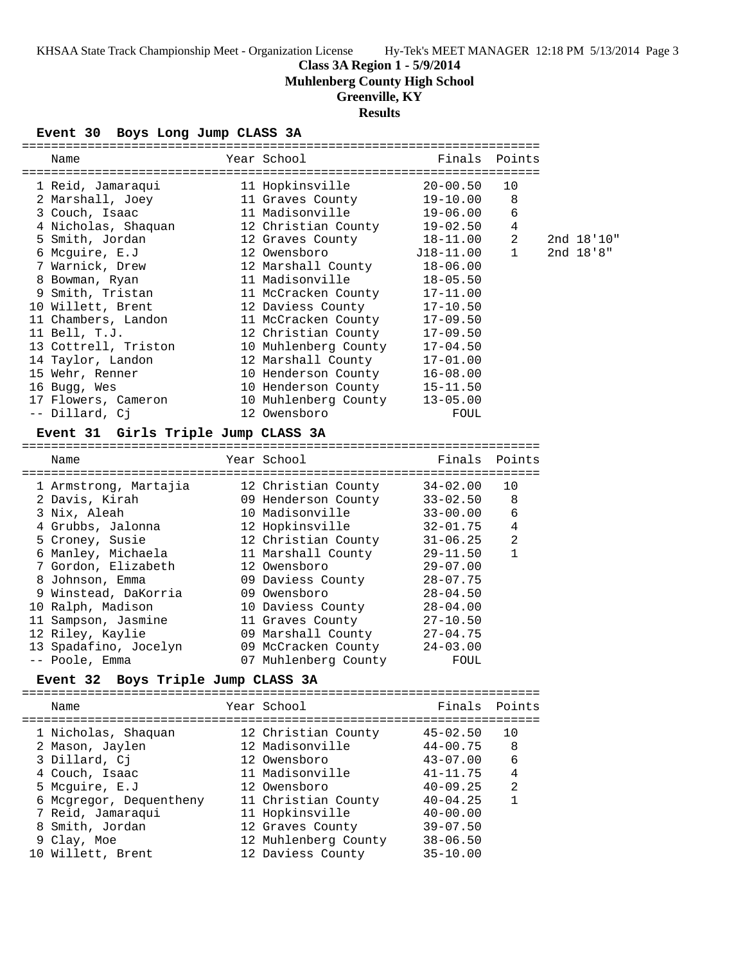# **Class 3A Region 1 - 5/9/2014**

**Muhlenberg County High School**

# **Greenville, KY**

# **Results**

# **Event 30 Boys Long Jump CLASS 3A**

| Name                                      | Year School in the School and the School and the School and the School and the School and the School | Finals Points |                |            |  |
|-------------------------------------------|------------------------------------------------------------------------------------------------------|---------------|----------------|------------|--|
|                                           |                                                                                                      | $20 - 00.50$  | 10             |            |  |
| 2 Marshall, Joey 11 Graves County         |                                                                                                      | 19-10.00      | 8              |            |  |
| 3 Couch, Isaac                            | 11 Madisonville                                                                                      | 19-06.00      | 6              |            |  |
| 4 Nicholas, Shaquan 12 Christian County   |                                                                                                      | 19-02.50      | 4              |            |  |
|                                           |                                                                                                      |               | $\overline{2}$ | 2nd 18'10" |  |
| 6 Mcquire, E.J                            |                                                                                                      |               |                | 2nd 18.8"  |  |
| 7 Warnick, Drew 12 Marshall County        |                                                                                                      | $18 - 06.00$  |                |            |  |
| 8 Bowman, Ryan 11 Madisonville            |                                                                                                      | $18 - 05.50$  |                |            |  |
| 9 Smith, Tristan 11 McCracken County      |                                                                                                      | $17 - 11.00$  |                |            |  |
|                                           |                                                                                                      | $17 - 10.50$  |                |            |  |
| 11 Chambers, Landon                       | 11 McCracken County                                                                                  | $17 - 09.50$  |                |            |  |
| 11 Bell, T.J.                             | 12 Christian County                                                                                  | $17 - 09.50$  |                |            |  |
| 13 Cottrell, Triston 10 Muhlenberg County |                                                                                                      | $17 - 04.50$  |                |            |  |
| 14 Taylor, Landon                         | 12 Marshall County                                                                                   | $17 - 01.00$  |                |            |  |
| 15 Wehr, Renner                           | 10 Henderson County                                                                                  | $16 - 08.00$  |                |            |  |
| 16 Bugg, Wes                              | 10 Henderson County                                                                                  | $15 - 11.50$  |                |            |  |
| 17 Flowers, Cameron                       | 10 Muhlenberg County                                                                                 | $13 - 05.00$  |                |            |  |
| -- Dillard, Ci                            | 12 Owensboro                                                                                         | FOUL          |                |            |  |

#### **Event 31 Girls Triple Jump CLASS 3A**

| Name                  | Year School          | Finals Points |    |
|-----------------------|----------------------|---------------|----|
| 1 Armstrong, Martajia | 12 Christian County  | $34 - 02.00$  | 10 |
| 2 Davis, Kirah        | 09 Henderson County  | $33 - 02.50$  | 8  |
| 3 Nix, Aleah          | 10 Madisonville      | $33 - 00.00$  | 6  |
| 4 Grubbs, Jalonna     | 12 Hopkinsville      | $32 - 01.75$  | 4  |
| 5 Croney, Susie       | 12 Christian County  | $31 - 06.25$  | 2  |
| 6 Manley, Michaela    | 11 Marshall County   | $29 - 11.50$  |    |
| 7 Gordon, Elizabeth   | 12 Owensboro         | $29 - 07.00$  |    |
| 8 Johnson, Emma       | 09 Daviess County    | $28 - 07.75$  |    |
| 9 Winstead, DaKorria  | 09 Owensboro         | $28 - 04.50$  |    |
| 10 Ralph, Madison     | 10 Daviess County    | $28 - 04.00$  |    |
| 11 Sampson, Jasmine   | 11 Graves County     | $27 - 10.50$  |    |
| 12 Riley, Kaylie      | 09 Marshall County   | $27 - 04.75$  |    |
| 13 Spadafino, Jocelyn | 09 McCracken County  | $24 - 03.00$  |    |
| -- Poole, Emma        | 07 Muhlenberg County | FOUL          |    |

# **Event 32 Boys Triple Jump CLASS 3A**

| Finals Points  |
|----------------|
|                |
| 10             |
| -8             |
| 6              |
| $\overline{4}$ |
| $\mathfrak{D}$ |
|                |
|                |
|                |
|                |
|                |
|                |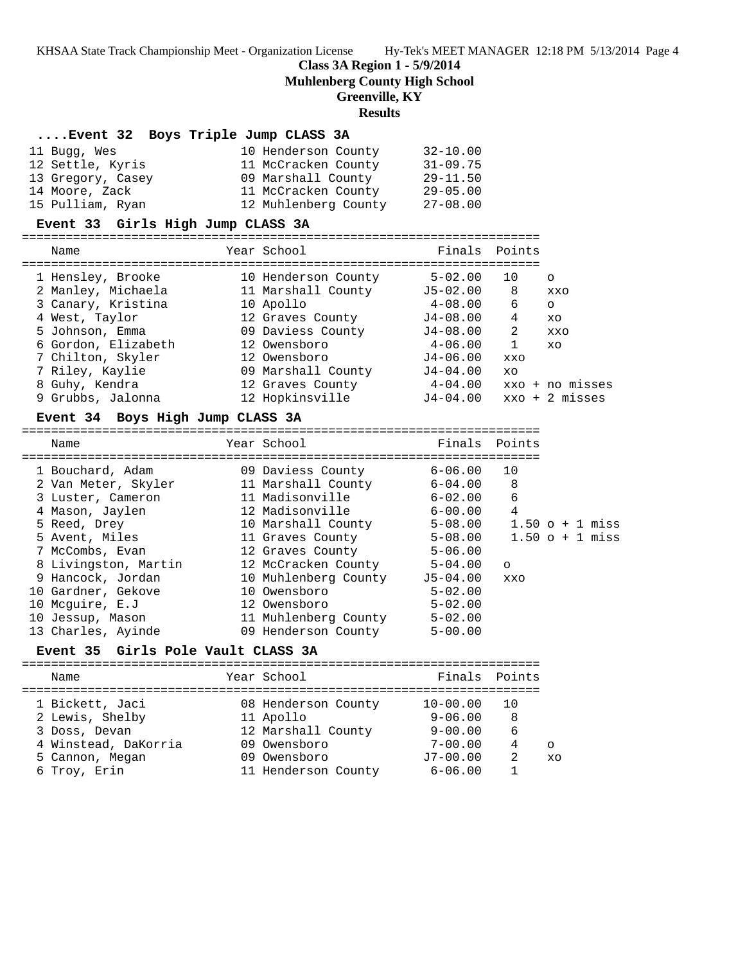**Class 3A Region 1 - 5/9/2014**

**Muhlenberg County High School**

# **Greenville, KY**

#### **Results**

#### **....Event 32 Boys Triple Jump CLASS 3A**

| 11 Buqq, Wes      | 10 Henderson County  | $32 - 10.00$ |
|-------------------|----------------------|--------------|
| 12 Settle, Kyris  | 11 McCracken County  | $31 - 09.75$ |
| 13 Gregory, Casey | 09 Marshall County   | $29 - 11.50$ |
| 14 Moore, Zack    | 11 McCracken County  | $29 - 05.00$ |
| 15 Pulliam, Ryan  | 12 Muhlenberg County | $27 - 08.00$ |

#### **Event 33 Girls High Jump CLASS 3A**

=======================================================================

| Name                | Year School         | Finals       | Points |                          |
|---------------------|---------------------|--------------|--------|--------------------------|
| 1 Hensley, Brooke   | 10 Henderson County | $5 - 02.00$  | 10     | $\Omega$                 |
| 2 Manley, Michaela  | 11 Marshall County  | $J5 - 02.00$ | 8      | XXO                      |
| 3 Canary, Kristina  | 10 Apollo           | $4 - 08.00$  | 6      | $\circ$                  |
| 4 West, Taylor      | 12 Graves County    | $J4-08.00$   | 4      | XO                       |
| 5 Johnson, Emma     | 09 Daviess County   | $J4-08.00$   | 2      | XXO                      |
| 6 Gordon, Elizabeth | 12 Owensboro        | $4 - 06.00$  | 1      | XO                       |
| 7 Chilton, Skyler   | 12 Owensboro        | $J4-06.00$   | XXO    |                          |
| 7 Riley, Kaylie     | 09 Marshall County  | $J4 - 04.00$ | XO     |                          |
| 8 Guhy, Kendra      | 12 Graves County    | $4 - 04.00$  |        | xxo + no misses          |
| 9 Grubbs, Jalonna   | 12 Hopkinsville     | $J4 - 04.00$ |        | $xxo + 2 \text{ misses}$ |
|                     |                     |              |        |                          |

#### **Event 34 Boys High Jump CLASS 3A**

======================================================================= Name Year School Finals Points ======================================================================= 1 Bouchard, Adam 09 Daviess County 6-06.00 10 2 Van Meter, Skyler 11 Marshall County 6-04.00 8 3 Luster, Cameron 11 Madisonville 6-02.00 6 4 Mason, Jaylen 12 Madisonville 6-00.00 4 5 Reed, Drey 10 Marshall County 5-08.00 1.50 o + 1 miss 5 Avent, Miles 11 Graves County 5-08.00 1.50 o + 1 miss 7 McCombs, Evan 12 Graves County 5-06.00 8 Livingston, Martin 12 McCracken County 5-04.00 o 9 Hancock, Jordan 10 Muhlenberg County J5-04.00 xxo 10 Gardner, Gekove 10 Owensboro 5-02.00 10 Mcguire, E.J 12 Owensboro 5-02.00 10 Jessup, Mason 11 Muhlenberg County 5-02.00 13 Charles, Ayinde 09 Henderson County 5-00.00

#### **Event 35 Girls Pole Vault CLASS 3A**

| Name                                    | Year School                     | Finals Points               |        |                |
|-----------------------------------------|---------------------------------|-----------------------------|--------|----------------|
| 1 Bickett, Jaci                         | 08 Henderson County             | $10 - 00.00$<br>$9 - 06.00$ | 10     |                |
| 2 Lewis, Shelby<br>3 Doss, Devan        | 11 Apollo<br>12 Marshall County | $9 - 00.00$                 | 8<br>6 |                |
| 4 Winstead, DaKorria<br>5 Cannon, Megan | 09 Owensboro<br>09 Owensboro    | $7 - 00.00$<br>$J7 - 00.00$ | 4<br>2 | $\Omega$<br>xΩ |
| 6 Troy, Erin                            | 11 Henderson County             | $6 - 06.00$                 |        |                |